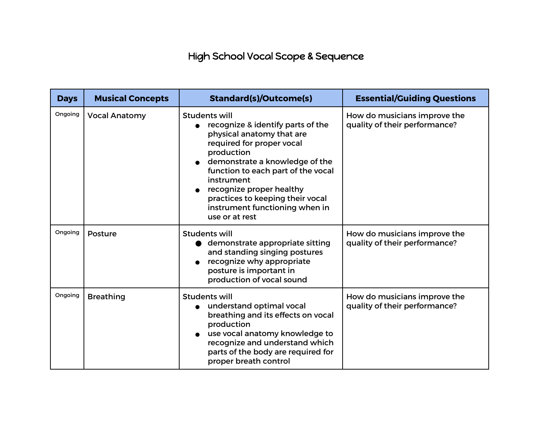## High School Vocal Scope & Sequence

| <b>Days</b> | <b>Musical Concepts</b> | <b>Standard(s)/Outcome(s)</b>                                                                                                                                                                                                                                                                                                               | <b>Essential/Guiding Questions</b>                            |
|-------------|-------------------------|---------------------------------------------------------------------------------------------------------------------------------------------------------------------------------------------------------------------------------------------------------------------------------------------------------------------------------------------|---------------------------------------------------------------|
| Ongoing     | <b>Vocal Anatomy</b>    | <b>Students will</b><br>recognize & identify parts of the<br>physical anatomy that are<br>required for proper vocal<br>production<br>demonstrate a knowledge of the<br>function to each part of the vocal<br>instrument<br>recognize proper healthy<br>practices to keeping their vocal<br>instrument functioning when in<br>use or at rest | How do musicians improve the<br>quality of their performance? |
| Ongoing     | Posture                 | <b>Students will</b><br>demonstrate appropriate sitting<br>$\bullet$<br>and standing singing postures<br>recognize why appropriate<br>posture is important in<br>production of vocal sound                                                                                                                                                  | How do musicians improve the<br>quality of their performance? |
| Ongoing     | <b>Breathing</b>        | <b>Students will</b><br>understand optimal vocal<br>breathing and its effects on vocal<br>production<br>use vocal anatomy knowledge to<br>recognize and understand which<br>parts of the body are required for<br>proper breath control                                                                                                     | How do musicians improve the<br>quality of their performance? |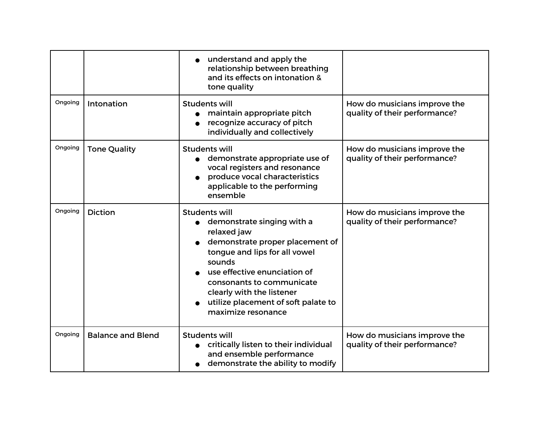|         |                          | understand and apply the<br>relationship between breathing<br>and its effects on intonation &<br>tone quality                                                                                                                                                                                          |                                                               |
|---------|--------------------------|--------------------------------------------------------------------------------------------------------------------------------------------------------------------------------------------------------------------------------------------------------------------------------------------------------|---------------------------------------------------------------|
| Ongoing | Intonation               | <b>Students will</b><br>maintain appropriate pitch<br>recognize accuracy of pitch<br>individually and collectively                                                                                                                                                                                     | How do musicians improve the<br>quality of their performance? |
| Ongoing | <b>Tone Quality</b>      | <b>Students will</b><br>demonstrate appropriate use of<br>vocal registers and resonance<br>produce vocal characteristics<br>applicable to the performing<br>ensemble                                                                                                                                   | How do musicians improve the<br>quality of their performance? |
| Ongoing | <b>Diction</b>           | <b>Students will</b><br>demonstrate singing with a<br>relaxed jaw<br>demonstrate proper placement of<br>tongue and lips for all vowel<br>sounds<br>use effective enunciation of<br>consonants to communicate<br>clearly with the listener<br>utilize placement of soft palate to<br>maximize resonance | How do musicians improve the<br>quality of their performance? |
| Ongoing | <b>Balance and Blend</b> | <b>Students will</b><br>critically listen to their individual<br>and ensemble performance<br>demonstrate the ability to modify                                                                                                                                                                         | How do musicians improve the<br>quality of their performance? |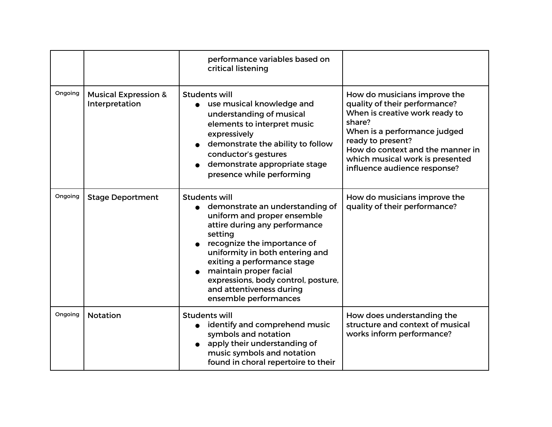|         |                                                   | performance variables based on<br>critical listening                                                                                                                                                                                                                                                                                                      |                                                                                                                                                                                                                                                                       |
|---------|---------------------------------------------------|-----------------------------------------------------------------------------------------------------------------------------------------------------------------------------------------------------------------------------------------------------------------------------------------------------------------------------------------------------------|-----------------------------------------------------------------------------------------------------------------------------------------------------------------------------------------------------------------------------------------------------------------------|
| Ongoing | <b>Musical Expression &amp;</b><br>Interpretation | <b>Students will</b><br>use musical knowledge and<br>understanding of musical<br>elements to interpret music<br>expressively<br>demonstrate the ability to follow<br>conductor's gestures<br>demonstrate appropriate stage<br>presence while performing                                                                                                   | How do musicians improve the<br>quality of their performance?<br>When is creative work ready to<br>share?<br>When is a performance judged<br>ready to present?<br>How do context and the manner in<br>which musical work is presented<br>influence audience response? |
| Ongoing | <b>Stage Deportment</b>                           | <b>Students will</b><br>demonstrate an understanding of<br>uniform and proper ensemble<br>attire during any performance<br>setting<br>recognize the importance of<br>uniformity in both entering and<br>exiting a performance stage<br>maintain proper facial<br>expressions, body control, posture,<br>and attentiveness during<br>ensemble performances | How do musicians improve the<br>quality of their performance?                                                                                                                                                                                                         |
| Ongoing | <b>Notation</b>                                   | Students will<br>identify and comprehend music<br>$\bullet$<br>symbols and notation<br>apply their understanding of<br>music symbols and notation<br>found in choral repertoire to their                                                                                                                                                                  | How does understanding the<br>structure and context of musical<br>works inform performance?                                                                                                                                                                           |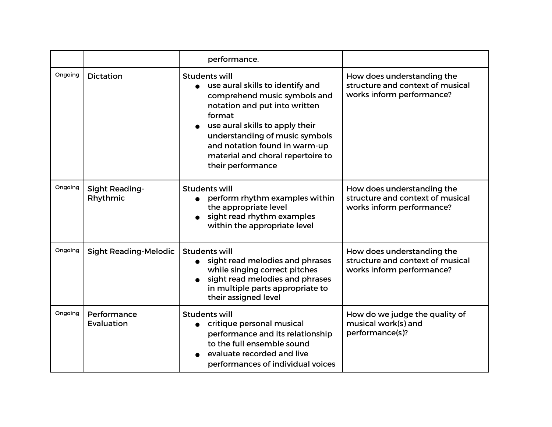|         |                                   | performance.                                                                                                                                                                                                                                                                                 |                                                                                             |
|---------|-----------------------------------|----------------------------------------------------------------------------------------------------------------------------------------------------------------------------------------------------------------------------------------------------------------------------------------------|---------------------------------------------------------------------------------------------|
| Ongoing | <b>Dictation</b>                  | Students will<br>use aural skills to identify and<br>comprehend music symbols and<br>notation and put into written<br>format<br>use aural skills to apply their<br>understanding of music symbols<br>and notation found in warm-up<br>material and choral repertoire to<br>their performance | How does understanding the<br>structure and context of musical<br>works inform performance? |
| Ongoing | <b>Sight Reading-</b><br>Rhythmic | <b>Students will</b><br>perform rhythm examples within<br>the appropriate level<br>sight read rhythm examples<br>within the appropriate level                                                                                                                                                | How does understanding the<br>structure and context of musical<br>works inform performance? |
| Ongoing | <b>Sight Reading-Melodic</b>      | <b>Students will</b><br>sight read melodies and phrases<br>while singing correct pitches<br>sight read melodies and phrases<br>in multiple parts appropriate to<br>their assigned level                                                                                                      | How does understanding the<br>structure and context of musical<br>works inform performance? |
| Ongoing | Performance<br>Evaluation         | <b>Students will</b><br>• critique personal musical<br>performance and its relationship<br>to the full ensemble sound<br>evaluate recorded and live<br>performances of individual voices                                                                                                     | How do we judge the quality of<br>musical work(s) and<br>performance(s)?                    |